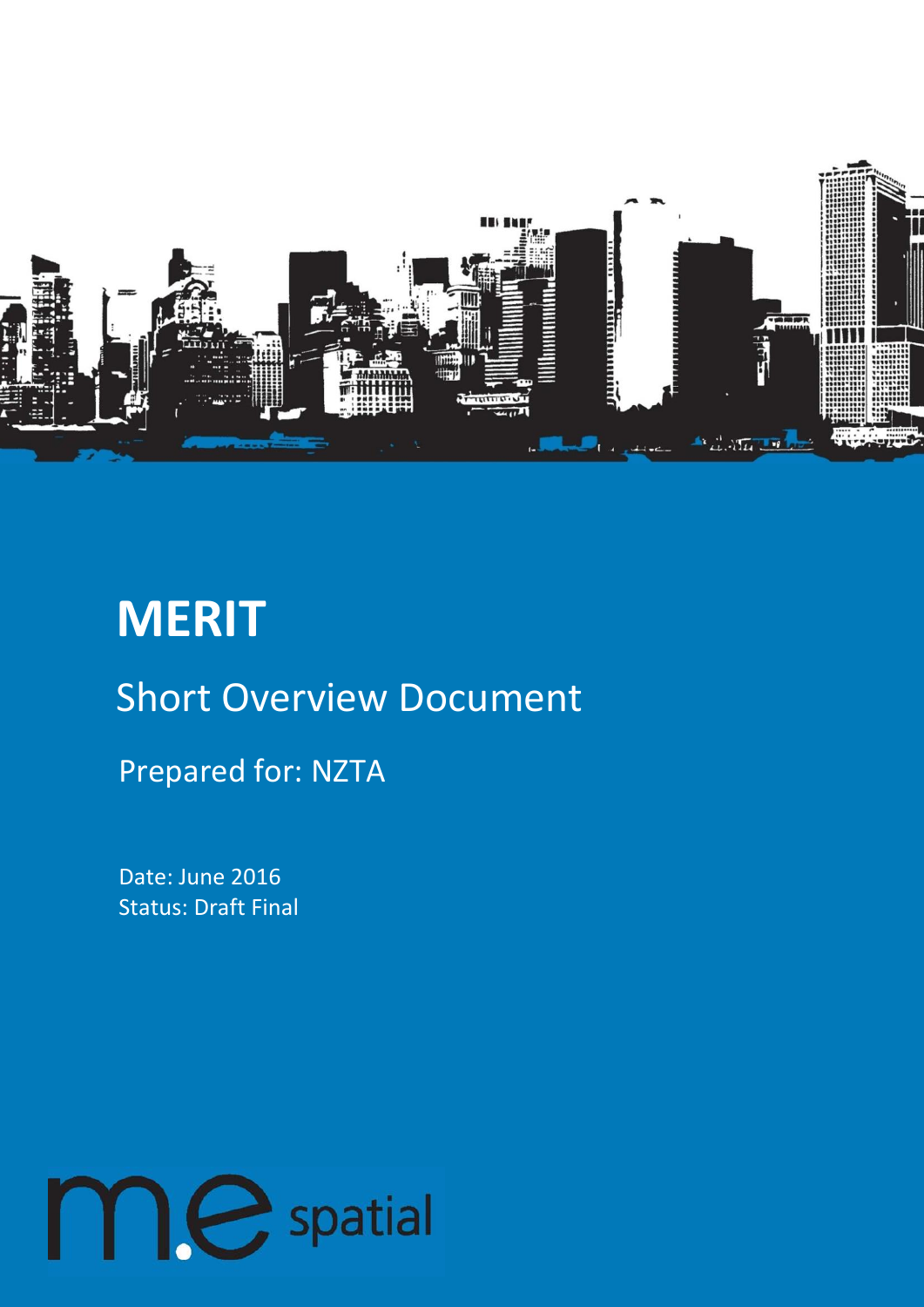

# **MERIT** Short Overview Document

Prepared for: NZTA

Date: June 2016 Status: Draft Final

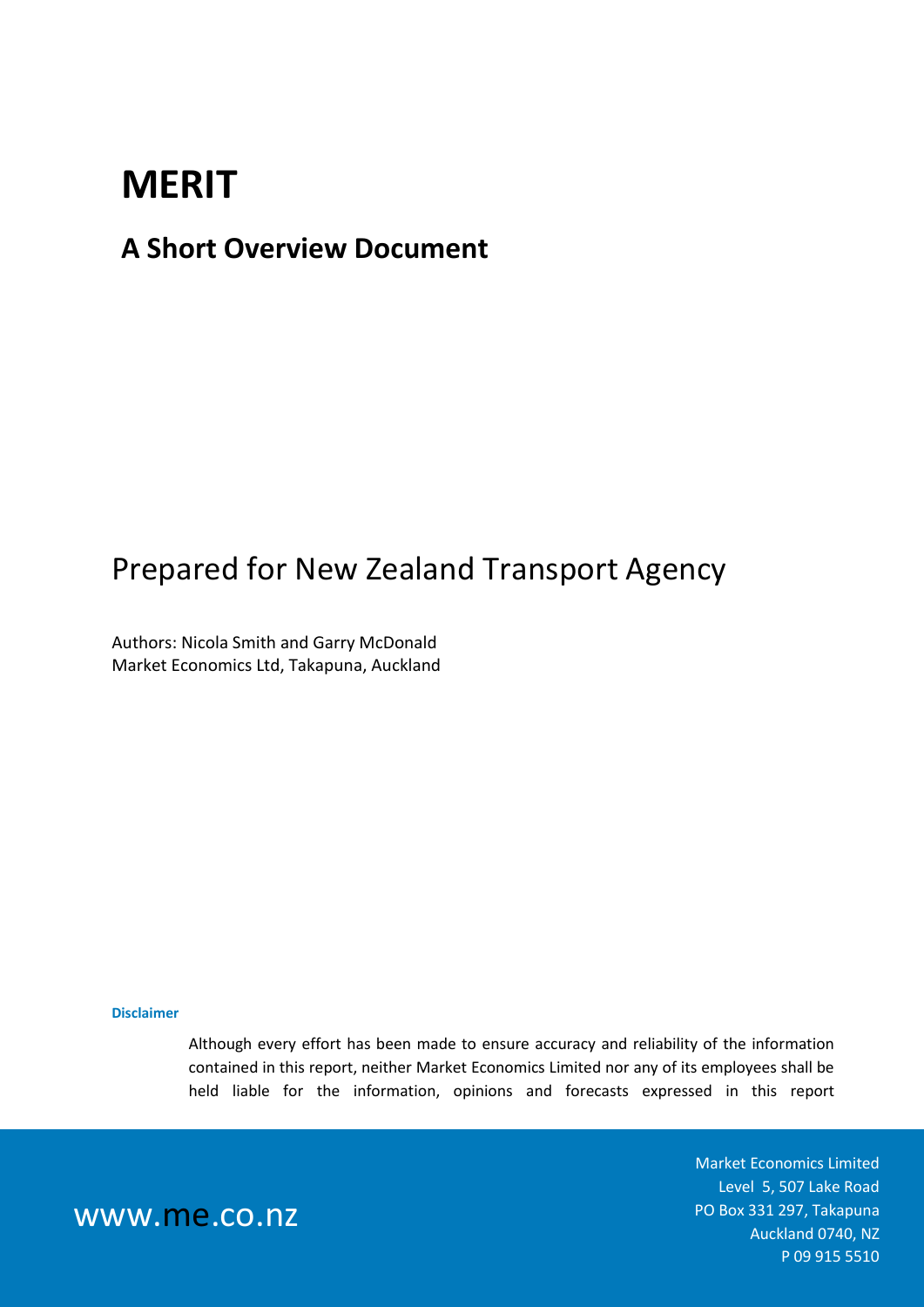### **MERIT**

#### **A Short Overview Document**

### Prepared for New Zealand Transport Agency

Authors: Nicola Smith and Garry McDonald Market Economics Ltd, Takapuna, Auckland

#### **Disclaimer**

Although every effort has been made to ensure accuracy and reliability of the information contained in this report, neither Market Economics Limited nor any of its employees shall be held liable for the information, opinions and forecasts expressed in this report

> Market Economics Limited Level 5, 507 Lake Road PO Box 331 297, Takapuna Auckland 0740, NZ P 09 915 5510

www.me.co.nz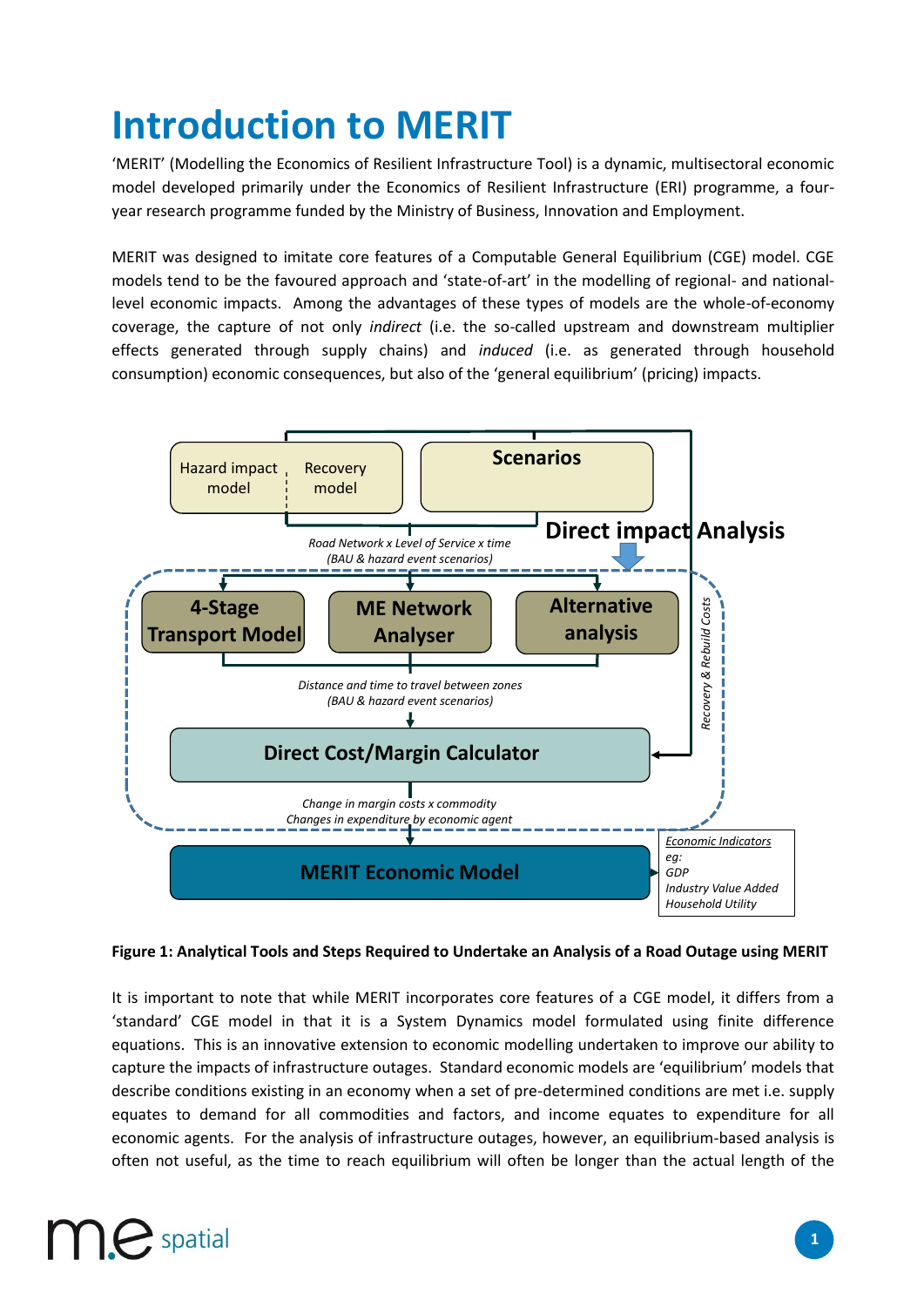## **Introduction to MERIT**

'MERIT' (Modelling the Economics of Resilient Infrastructure Tool) is a dynamic, multisectoral economic model developed primarily under the Economics of Resilient Infrastructure (ERI) programme, a fouryear research programme funded by the Ministry of Business, Innovation and Employment.

MERIT was designed to imitate core features of a Computable General Equilibrium (CGE) model. CGE models tend to be the favoured approach and 'state-of-art' in the modelling of regional- and nationallevel economic impacts. Among the advantages of these types of models are the whole-of-economy coverage, the capture of not only *indirect* (i.e. the so-called upstream and downstream multiplier effects generated through supply chains) and *induced* (i.e. as generated through household consumption) economic consequences, but also of the 'general equilibrium' (pricing) impacts.



#### **Figure 1: Analytical Tools and Steps Required to Undertake an Analysis of a Road Outage using MERIT**

It is important to note that while MERIT incorporates core features of a CGE model, it differs from a 'standard' CGE model in that it is a System Dynamics model formulated using finite difference equations. This is an innovative extension to economic modelling undertaken to improve our ability to capture the impacts of infrastructure outages. Standard economic models are 'equilibrium' models that describe conditions existing in an economy when a set of pre-determined conditions are met i.e. supply equates to demand for all commodities and factors, and income equates to expenditure for all economic agents. For the analysis of infrastructure outages, however, an equilibrium-based analysis is often not useful, as the time to reach equilibrium will often be longer than the actual length of the

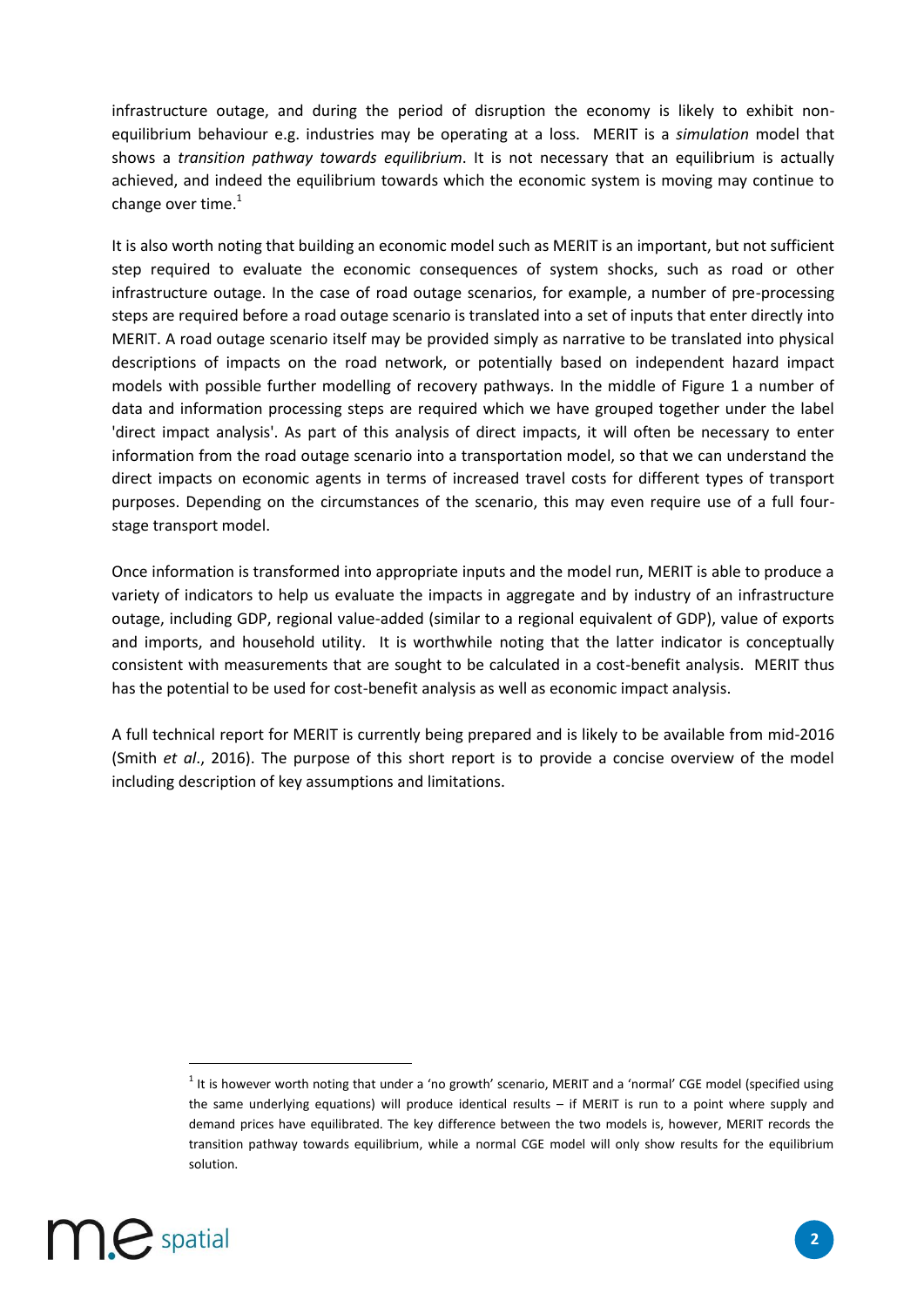infrastructure outage, and during the period of disruption the economy is likely to exhibit nonequilibrium behaviour e.g. industries may be operating at a loss. MERIT is a *simulation* model that shows a *transition pathway towards equilibrium*. It is not necessary that an equilibrium is actually achieved, and indeed the equilibrium towards which the economic system is moving may continue to change over time. $<sup>1</sup>$ </sup>

It is also worth noting that building an economic model such as MERIT is an important, but not sufficient step required to evaluate the economic consequences of system shocks, such as road or other infrastructure outage. In the case of road outage scenarios, for example, a number of pre-processing steps are required before a road outage scenario is translated into a set of inputs that enter directly into MERIT. A road outage scenario itself may be provided simply as narrative to be translated into physical descriptions of impacts on the road network, or potentially based on independent hazard impact models with possible further modelling of recovery pathways. In the middle of Figure 1 a number of data and information processing steps are required which we have grouped together under the label 'direct impact analysis'. As part of this analysis of direct impacts, it will often be necessary to enter information from the road outage scenario into a transportation model, so that we can understand the direct impacts on economic agents in terms of increased travel costs for different types of transport purposes. Depending on the circumstances of the scenario, this may even require use of a full fourstage transport model.

Once information is transformed into appropriate inputs and the model run, MERIT is able to produce a variety of indicators to help us evaluate the impacts in aggregate and by industry of an infrastructure outage, including GDP, regional value-added (similar to a regional equivalent of GDP), value of exports and imports, and household utility. It is worthwhile noting that the latter indicator is conceptually consistent with measurements that are sought to be calculated in a cost-benefit analysis. MERIT thus has the potential to be used for cost-benefit analysis as well as economic impact analysis.

A full technical report for MERIT is currently being prepared and is likely to be available from mid-2016 (Smith *et al*., 2016). The purpose of this short report is to provide a concise overview of the model including description of key assumptions and limitations.

 $<sup>1</sup>$  It is however worth noting that under a 'no growth' scenario, MERIT and a 'normal' CGE model (specified using</sup> the same underlying equations) will produce identical results – if MERIT is run to a point where supply and demand prices have equilibrated. The key difference between the two models is, however, MERIT records the transition pathway towards equilibrium, while a normal CGE model will only show results for the equilibrium solution.



 $\overline{\phantom{a}}$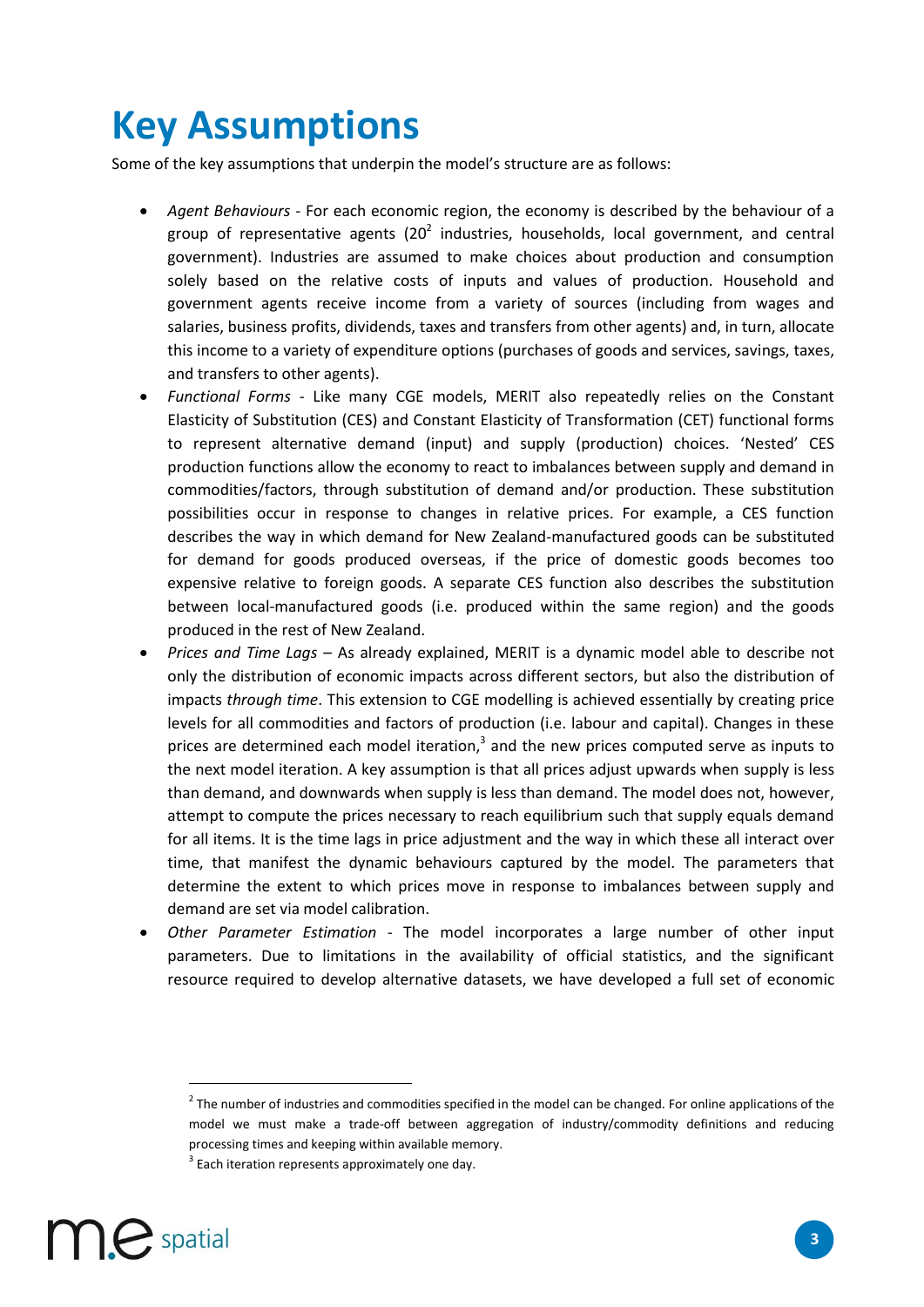## **Key Assumptions**

Some of the key assumptions that underpin the model's structure are as follows:

- *Agent Behaviours -* For each economic region, the economy is described by the behaviour of a group of representative agents (20<sup>2</sup> industries, households, local government, and central government). Industries are assumed to make choices about production and consumption solely based on the relative costs of inputs and values of production. Household and government agents receive income from a variety of sources (including from wages and salaries, business profits, dividends, taxes and transfers from other agents) and, in turn, allocate this income to a variety of expenditure options (purchases of goods and services, savings, taxes, and transfers to other agents).
- *Functional Forms* Like many CGE models, MERIT also repeatedly relies on the Constant Elasticity of Substitution (CES) and Constant Elasticity of Transformation (CET) functional forms to represent alternative demand (input) and supply (production) choices. 'Nested' CES production functions allow the economy to react to imbalances between supply and demand in commodities/factors, through substitution of demand and/or production. These substitution possibilities occur in response to changes in relative prices. For example, a CES function describes the way in which demand for New Zealand-manufactured goods can be substituted for demand for goods produced overseas, if the price of domestic goods becomes too expensive relative to foreign goods. A separate CES function also describes the substitution between local-manufactured goods (i.e. produced within the same region) and the goods produced in the rest of New Zealand.
- *Prices and Time Lags –* As already explained, MERIT is a dynamic model able to describe not only the distribution of economic impacts across different sectors, but also the distribution of impacts *through time*. This extension to CGE modelling is achieved essentially by creating price levels for all commodities and factors of production (i.e. labour and capital). Changes in these prices are determined each model iteration,<sup>3</sup> and the new prices computed serve as inputs to the next model iteration. A key assumption is that all prices adjust upwards when supply is less than demand, and downwards when supply is less than demand. The model does not, however, attempt to compute the prices necessary to reach equilibrium such that supply equals demand for all items. It is the time lags in price adjustment and the way in which these all interact over time, that manifest the dynamic behaviours captured by the model. The parameters that determine the extent to which prices move in response to imbalances between supply and demand are set via model calibration.
- *Other Parameter Estimation* The model incorporates a large number of other input parameters. Due to limitations in the availability of official statistics, and the significant resource required to develop alternative datasets, we have developed a full set of economic

 $3$  Each iteration represents approximately one day.



 $\overline{a}$ 

 $2$  The number of industries and commodities specified in the model can be changed. For online applications of the model we must make a trade-off between aggregation of industry/commodity definitions and reducing processing times and keeping within available memory.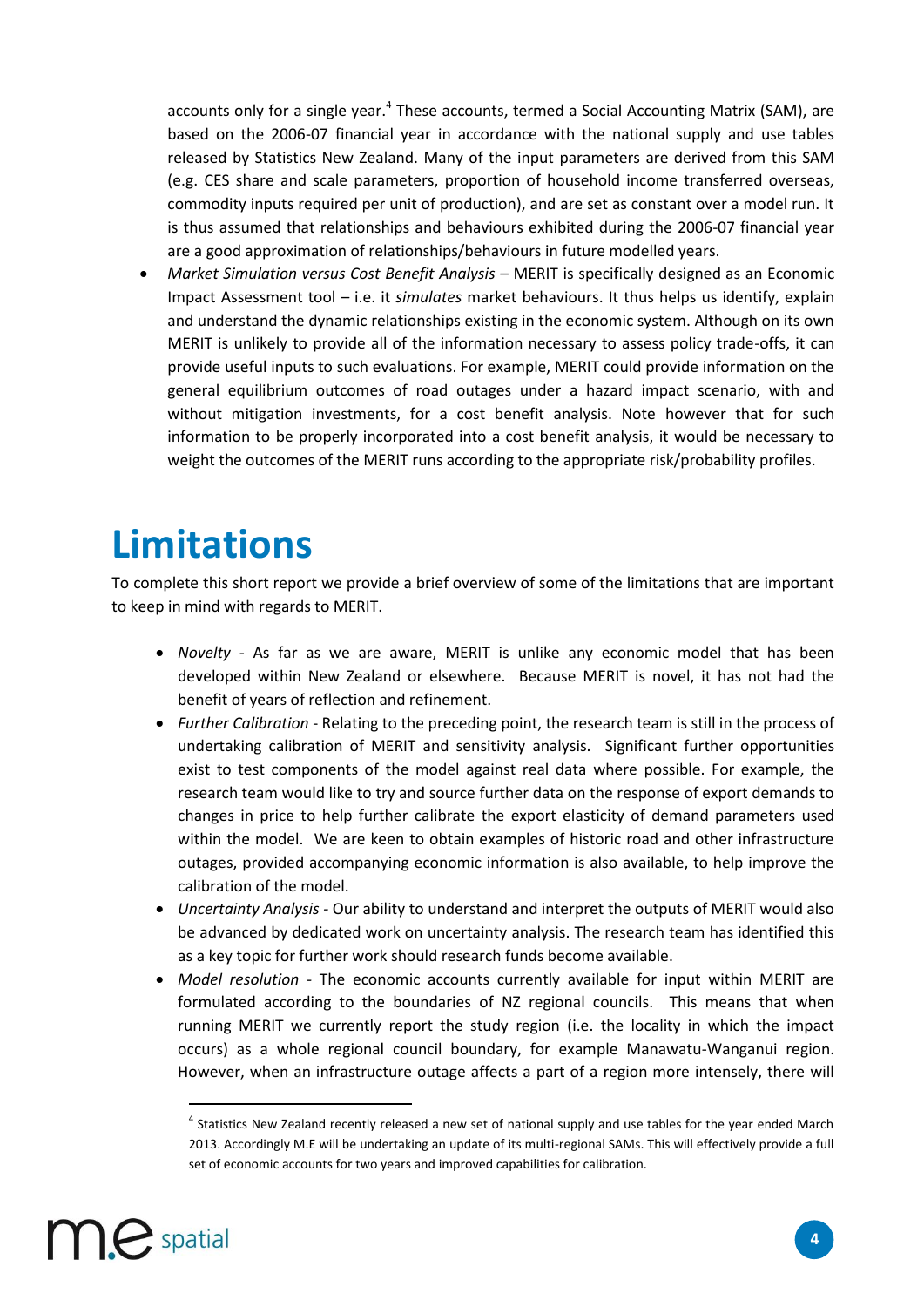accounts only for a single year.<sup>4</sup> These accounts, termed a Social Accounting Matrix (SAM), are based on the 2006-07 financial year in accordance with the national supply and use tables released by Statistics New Zealand. Many of the input parameters are derived from this SAM (e.g. CES share and scale parameters, proportion of household income transferred overseas, commodity inputs required per unit of production), and are set as constant over a model run. It is thus assumed that relationships and behaviours exhibited during the 2006-07 financial year are a good approximation of relationships/behaviours in future modelled years.

*Market Simulation versus Cost Benefit Analysis – MERIT is specifically designed as an Economic* Impact Assessment tool – i.e. it *simulates* market behaviours. It thus helps us identify, explain and understand the dynamic relationships existing in the economic system. Although on its own MERIT is unlikely to provide all of the information necessary to assess policy trade-offs, it can provide useful inputs to such evaluations. For example, MERIT could provide information on the general equilibrium outcomes of road outages under a hazard impact scenario, with and without mitigation investments, for a cost benefit analysis. Note however that for such information to be properly incorporated into a cost benefit analysis, it would be necessary to weight the outcomes of the MERIT runs according to the appropriate risk/probability profiles.

## **Limitations**

To complete this short report we provide a brief overview of some of the limitations that are important to keep in mind with regards to MERIT.

- *Novelty* As far as we are aware, MERIT is unlike any economic model that has been developed within New Zealand or elsewhere. Because MERIT is novel, it has not had the benefit of years of reflection and refinement.
- *Further Calibration* Relating to the preceding point, the research team is still in the process of undertaking calibration of MERIT and sensitivity analysis. Significant further opportunities exist to test components of the model against real data where possible. For example, the research team would like to try and source further data on the response of export demands to changes in price to help further calibrate the export elasticity of demand parameters used within the model. We are keen to obtain examples of historic road and other infrastructure outages, provided accompanying economic information is also available, to help improve the calibration of the model.
- *Uncertainty Analysis -* Our ability to understand and interpret the outputs of MERIT would also be advanced by dedicated work on uncertainty analysis. The research team has identified this as a key topic for further work should research funds become available.
- *Model resolution -* The economic accounts currently available for input within MERIT are formulated according to the boundaries of NZ regional councils. This means that when running MERIT we currently report the study region (i.e. the locality in which the impact occurs) as a whole regional council boundary, for example Manawatu-Wanganui region. However, when an infrastructure outage affects a part of a region more intensely, there will

<sup>&</sup>lt;sup>4</sup> Statistics New Zealand recently released a new set of national supply and use tables for the year ended March 2013. Accordingly M.E will be undertaking an update of its multi-regional SAMs. This will effectively provide a full set of economic accounts for two years and improved capabilities for calibration.



 $\overline{\phantom{a}}$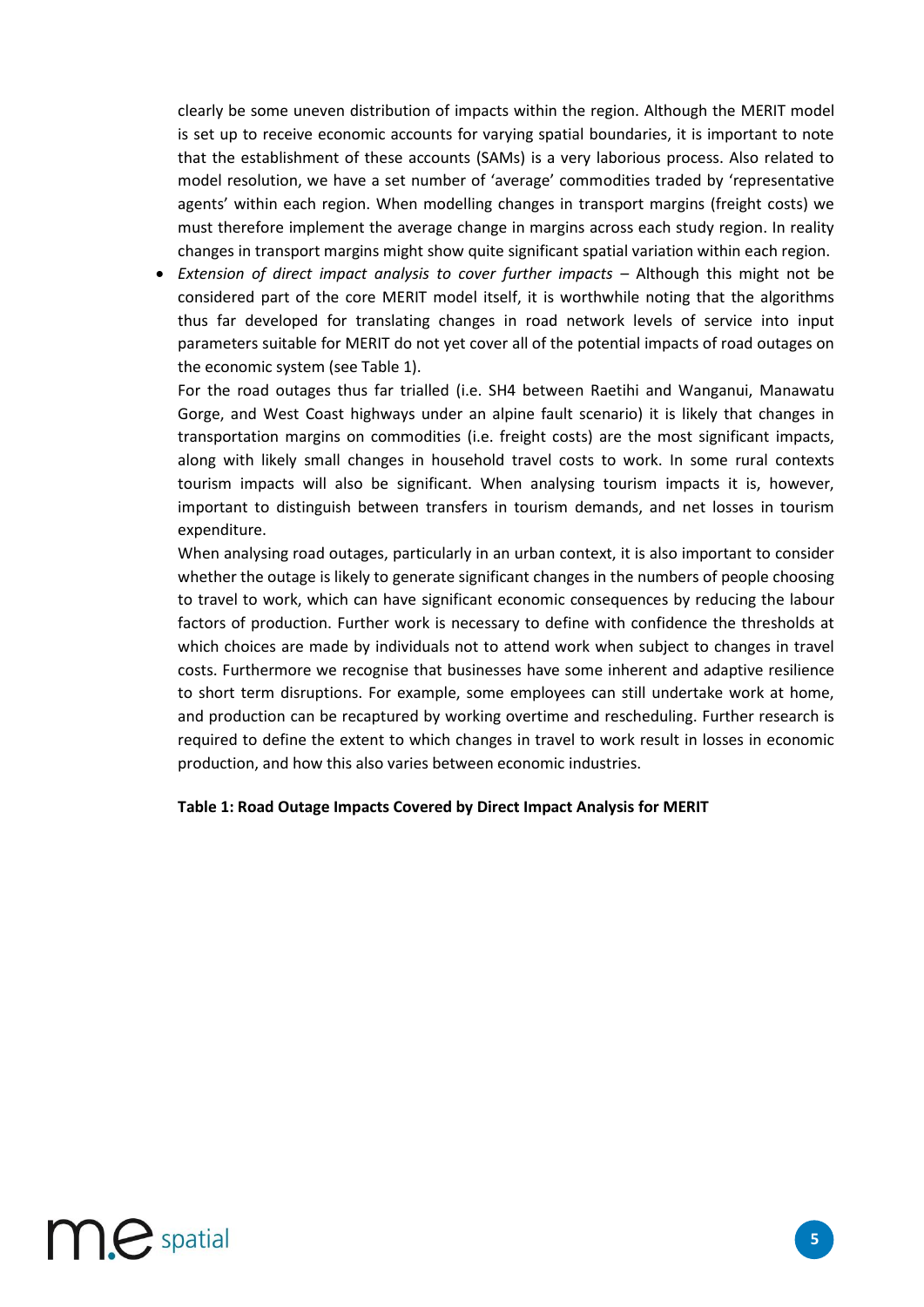clearly be some uneven distribution of impacts within the region. Although the MERIT model is set up to receive economic accounts for varying spatial boundaries, it is important to note that the establishment of these accounts (SAMs) is a very laborious process. Also related to model resolution, we have a set number of 'average' commodities traded by 'representative agents' within each region. When modelling changes in transport margins (freight costs) we must therefore implement the average change in margins across each study region. In reality changes in transport margins might show quite significant spatial variation within each region.

**•** Extension of direct impact analysis to cover further impacts – Although this might not be considered part of the core MERIT model itself, it is worthwhile noting that the algorithms thus far developed for translating changes in road network levels of service into input parameters suitable for MERIT do not yet cover all of the potential impacts of road outages on the economic system (see Table 1).

For the road outages thus far trialled (i.e. SH4 between Raetihi and Wanganui, Manawatu Gorge, and West Coast highways under an alpine fault scenario) it is likely that changes in transportation margins on commodities (i.e. freight costs) are the most significant impacts, along with likely small changes in household travel costs to work. In some rural contexts tourism impacts will also be significant. When analysing tourism impacts it is, however, important to distinguish between transfers in tourism demands, and net losses in tourism expenditure.

When analysing road outages, particularly in an urban context, it is also important to consider whether the outage is likely to generate significant changes in the numbers of people choosing to travel to work, which can have significant economic consequences by reducing the labour factors of production. Further work is necessary to define with confidence the thresholds at which choices are made by individuals not to attend work when subject to changes in travel costs. Furthermore we recognise that businesses have some inherent and adaptive resilience to short term disruptions. For example, some employees can still undertake work at home, and production can be recaptured by working overtime and rescheduling. Further research is required to define the extent to which changes in travel to work result in losses in economic production, and how this also varies between economic industries.

#### **Table 1: Road Outage Impacts Covered by Direct Impact Analysis for MERIT**